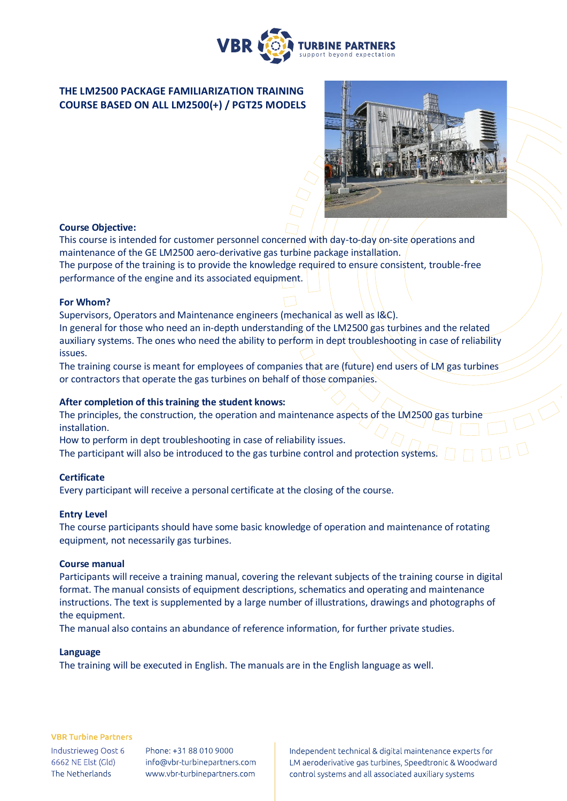

# **THE LM2500 PACKAGE FAMILIARIZATION TRAINING COURSE BASED ON ALL LM2500(+) / PGT25 MODELS**



# **Course Objective:**

This course is intended for customer personnel concerned with day-to-day on-site operations and maintenance of the GE LM2500 aero-derivative gas turbine package installation. The purpose of the training is to provide the knowledge required to ensure consistent, trouble-free performance of the engine and its associated equipment.

## **For Whom?**

Supervisors, Operators and Maintenance engineers (mechanical as well as I&C). In general for those who need an in-depth understanding of the LM2500 gas turbines and the related

auxiliary systems. The ones who need the ability to perform in dept troubleshooting in case of reliability issues.

The training course is meant for employees of companies that are (future) end users of LM gas turbines or contractors that operate the gas turbines on behalf of those companies.

## **After completion of this training the student knows:**

The principles, the construction, the operation and maintenance aspects of the LM2500 gas turbine installation.

How to perform in dept troubleshooting in case of reliability issues.

The participant will also be introduced to the gas turbine control and protection systems.

## **Certificate**

Every participant will receive a personal certificate at the closing of the course.

## **Entry Level**

The course participants should have some basic knowledge of operation and maintenance of rotating equipment, not necessarily gas turbines.

#### **Course manual**

Participants will receive a training manual, covering the relevant subjects of the training course in digital format. The manual consists of equipment descriptions, schematics and operating and maintenance instructions. The text is supplemented by a large number of illustrations, drawings and photographs of the equipment.

The manual also contains an abundance of reference information, for further private studies.

#### **Language**

The training will be executed in English. The manuals are in the English language as well.

#### **VBR Turbine Partners**

Industrieweg Oost 6 6662 NE Elst (Gld) The Netherlands

Phone: +31 88 010 9000 info@vbr-turbinepartners.com www.vbr-turbinepartners.com Independent technical & digital maintenance experts for LM aeroderivative gas turbines, Speedtronic & Woodward control systems and all associated auxiliary systems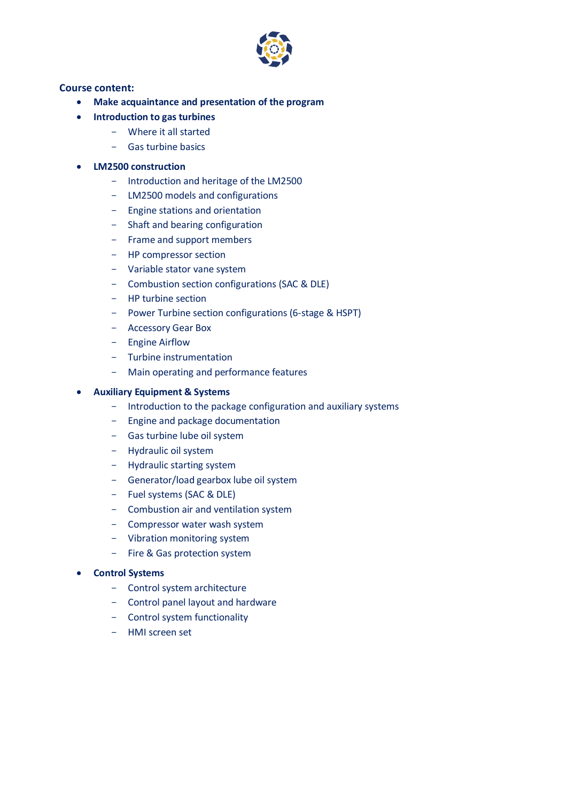

## **Course content:**

- **Make acquaintance and presentation of the program**
- **Introduction to gas turbines** 
	- Where it all started
	- Gas turbine basics

## • **LM2500 construction**

- Introduction and heritage of the LM2500
- LM2500 models and configurations
- Engine stations and orientation
- Shaft and bearing configuration
- Frame and support members
- HP compressor section
- Variable stator vane system
- Combustion section configurations (SAC & DLE)
- HP turbine section
- Power Turbine section configurations (6-stage & HSPT)
- Accessory Gear Box
- Engine Airflow
- Turbine instrumentation
- Main operating and performance features

## • **Auxiliary Equipment & Systems**

- Introduction to the package configuration and auxiliary systems
- Engine and package documentation
- Gas turbine lube oil system
- Hydraulic oil system
- Hydraulic starting system
- Generator/load gearbox lube oil system
- Fuel systems (SAC & DLE)
- Combustion air and ventilation system
- Compressor water wash system
- Vibration monitoring system
- Fire & Gas protection system

## • **Control Systems**

- Control system architecture
- Control panel layout and hardware
- Control system functionality
- HMI screen set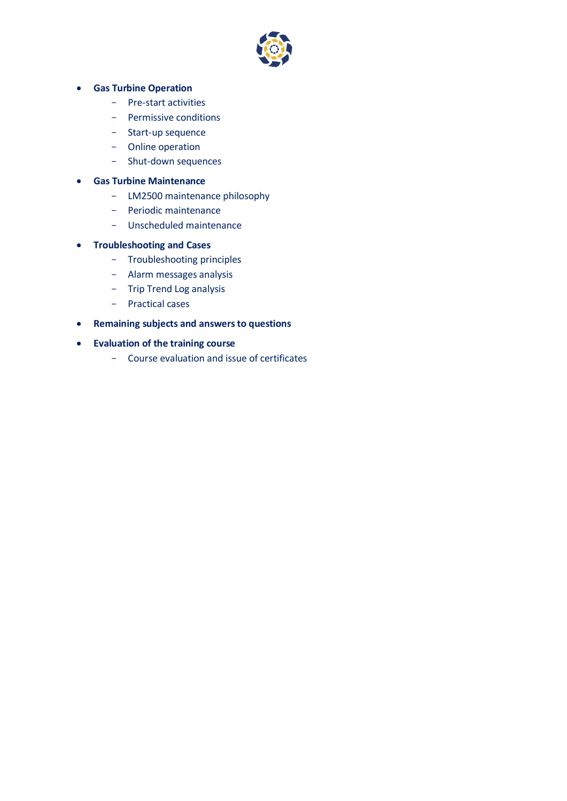

# • **Gas Turbine Operation**

- Pre-start activities
- Permissive conditions
- Start-up sequence
- Online operation
- Shut-down sequences

# • **Gas Turbine Maintenance**

- LM2500 maintenance philosophy
- Periodic maintenance
- Unscheduled maintenance

# • **Troubleshooting and Cases**

- Troubleshooting principles
- Alarm messages analysis
- Trip Trend Log analysis
- Practical cases
- **Remaining subjects and answers to questions**
- **Evaluation of the training course**
	- Course evaluation and issue of certificates